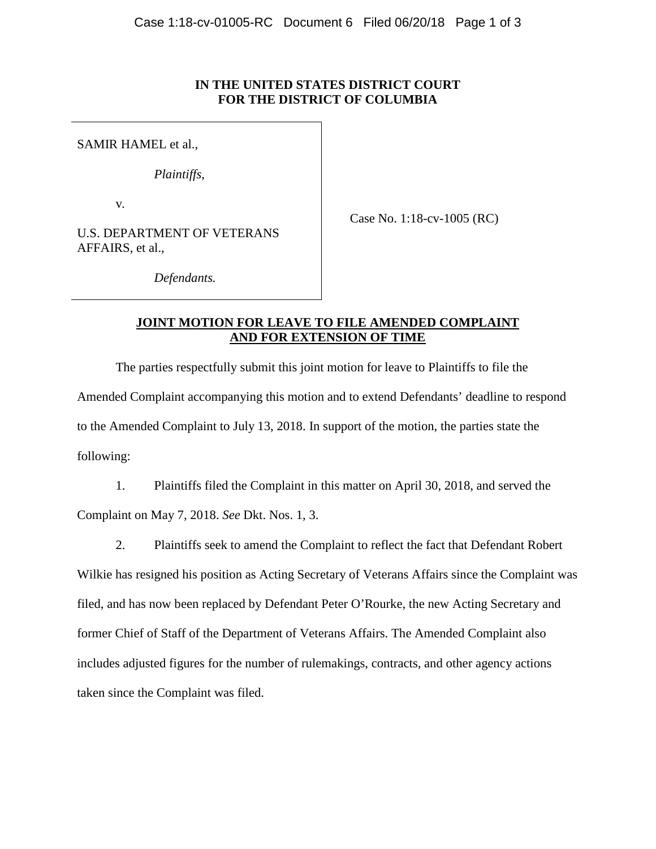## **IN THE UNITED STATES DISTRICT COURT FOR THE DISTRICT OF COLUMBIA**

SAMIR HAMEL et al.,

*Plaintiffs*,

v*.*

Case No. 1:18-cv-1005 (RC)

U.S. DEPARTMENT OF VETERANS AFFAIRS, et al.,

*Defendants.*

## **JOINT MOTION FOR LEAVE TO FILE AMENDED COMPLAINT AND FOR EXTENSION OF TIME**

The parties respectfully submit this joint motion for leave to Plaintiffs to file the Amended Complaint accompanying this motion and to extend Defendants' deadline to respond to the Amended Complaint to July 13, 2018. In support of the motion, the parties state the following:

1. Plaintiffs filed the Complaint in this matter on April 30, 2018, and served the Complaint on May 7, 2018. *See* Dkt. Nos. 1, 3.

2. Plaintiffs seek to amend the Complaint to reflect the fact that Defendant Robert Wilkie has resigned his position as Acting Secretary of Veterans Affairs since the Complaint was filed, and has now been replaced by Defendant Peter O'Rourke, the new Acting Secretary and former Chief of Staff of the Department of Veterans Affairs. The Amended Complaint also includes adjusted figures for the number of rulemakings, contracts, and other agency actions taken since the Complaint was filed.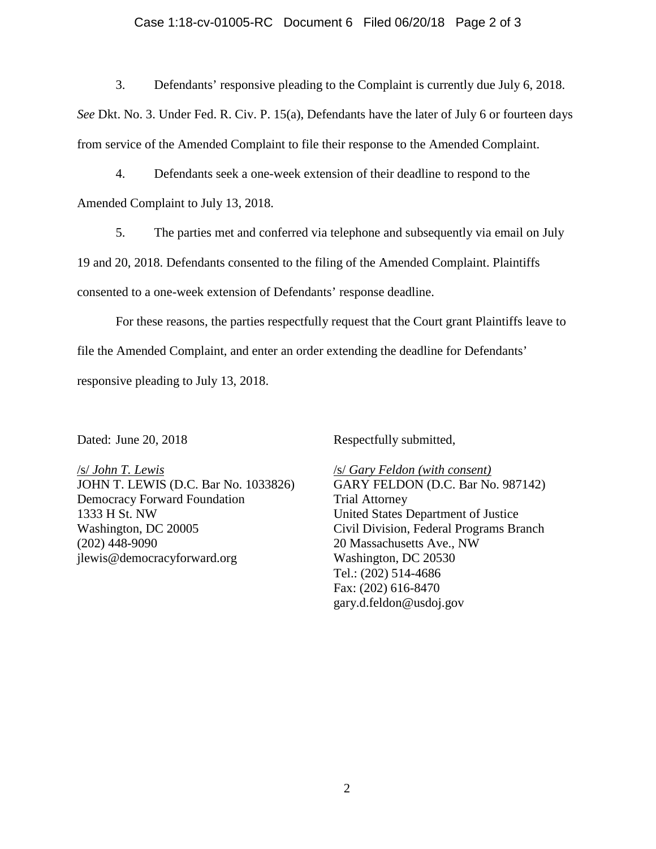#### Case 1:18-cv-01005-RC Document 6 Filed 06/20/18 Page 2 of 3

3. Defendants' responsive pleading to the Complaint is currently due July 6, 2018.

*See* Dkt. No. 3. Under Fed. R. Civ. P. 15(a), Defendants have the later of July 6 or fourteen days from service of the Amended Complaint to file their response to the Amended Complaint.

4. Defendants seek a one-week extension of their deadline to respond to the Amended Complaint to July 13, 2018.

5. The parties met and conferred via telephone and subsequently via email on July

19 and 20, 2018. Defendants consented to the filing of the Amended Complaint. Plaintiffs

consented to a one-week extension of Defendants' response deadline.

For these reasons, the parties respectfully request that the Court grant Plaintiffs leave to file the Amended Complaint, and enter an order extending the deadline for Defendants' responsive pleading to July 13, 2018.

Dated: June 20, 2018

Respectfully submitted,

/s/ *John T. Lewis* JOHN T. LEWIS (D.C. Bar No. 1033826) Democracy Forward Foundation 1333 H St. NW Washington, DC 20005 (202) 448-9090 jlewis@democracyforward.org

/s/ *Gary Feldon (with consent)* GARY FELDON (D.C. Bar No. 987142) Trial Attorney United States Department of Justice Civil Division, Federal Programs Branch 20 Massachusetts Ave., NW Washington, DC 20530 Tel.: (202) 514-4686 Fax: (202) 616-8470 gary.d.feldon@usdoj.gov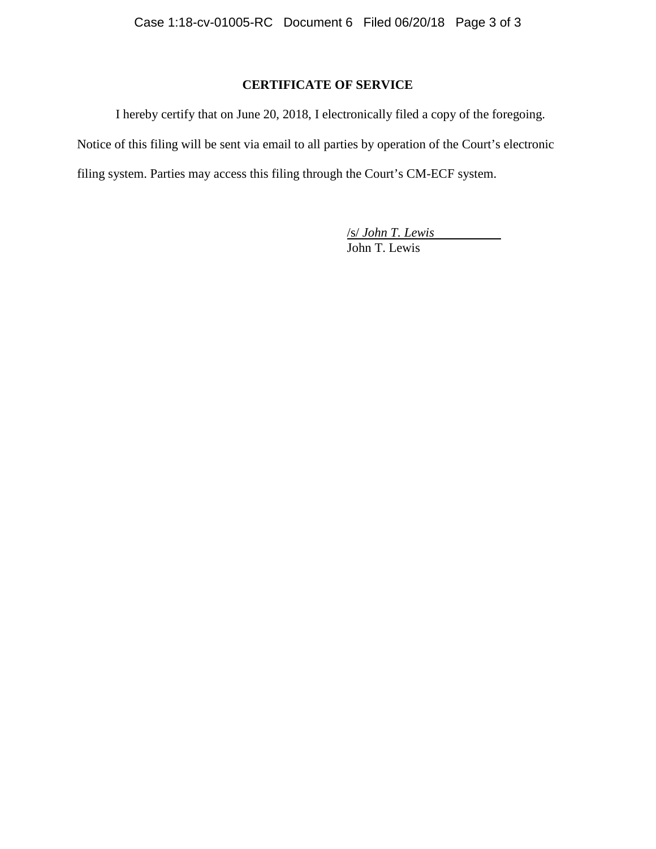# **CERTIFICATE OF SERVICE**

I hereby certify that on June 20, 2018, I electronically filed a copy of the foregoing. Notice of this filing will be sent via email to all parties by operation of the Court's electronic filing system. Parties may access this filing through the Court's CM-ECF system.

> /s/ *John T. Lewis* John T. Lewis